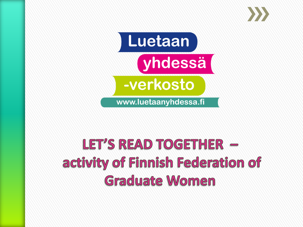



## LET'S READ TOGETHER activity of Finnish Federation of **Graduate Women**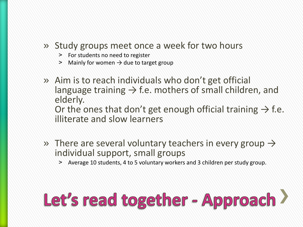#### » Study groups meet once a week for two hours

- > For students no need to register
- $>$  Mainly for women  $\rightarrow$  due to target group
- » Aim is to reach individuals who don't get official language training  $\rightarrow$  f.e. mothers of small children, and elderly. Or the ones that don't get enough official training  $\rightarrow$  f.e. illiterate and slow learners
- » There are several voluntary teachers in every group  $\rightarrow$ individual support, small groups
	- ˃ Average 10 students, 4 to 5 voluntary workers and 3 children per study group.

## Let's read together - Approach >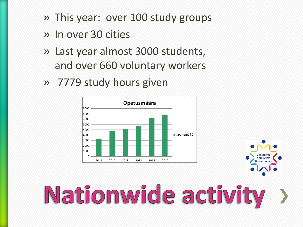- » This year: over 100 study groups
- » In over 30 cities
- » Last year almost 3000 students, and over 660 voluntary workers
- » 7779 study hours given





Lukutaitoa

**/stävyyttä**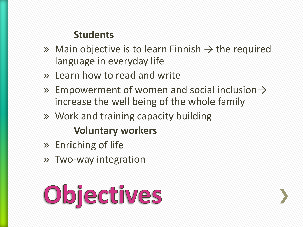### **Students**

- » Main objective is to learn Finnish  $\rightarrow$  the required language in everyday life
- » Learn how to read and write
- » Empowerment of women and social inclusion  $\rightarrow$ increase the well being of the whole family
- » Work and training capacity building **Voluntary workers**
- » Enriching of life
- » Two-way integration

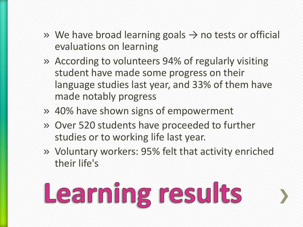- » We have broad learning goals  $\rightarrow$  no tests or official evaluations on learning
- » According to volunteers 94% of regularly visiting student have made some progress on their language studies last year, and 33% of them have made notably progress
- » 40% have shown signs of empowerment
- » Over 520 students have proceeded to further studies or to working life last year.
- » Voluntary workers: 95% felt that activity enriched their life's

# Learning results